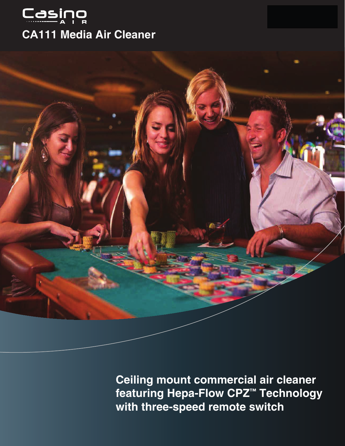

# **CA111 Media Air Cleaner**



Ceiling mount commercial air cleaner featuring Hepa-Flow CPZ<sup>™</sup> Technology with three-speed remote switch